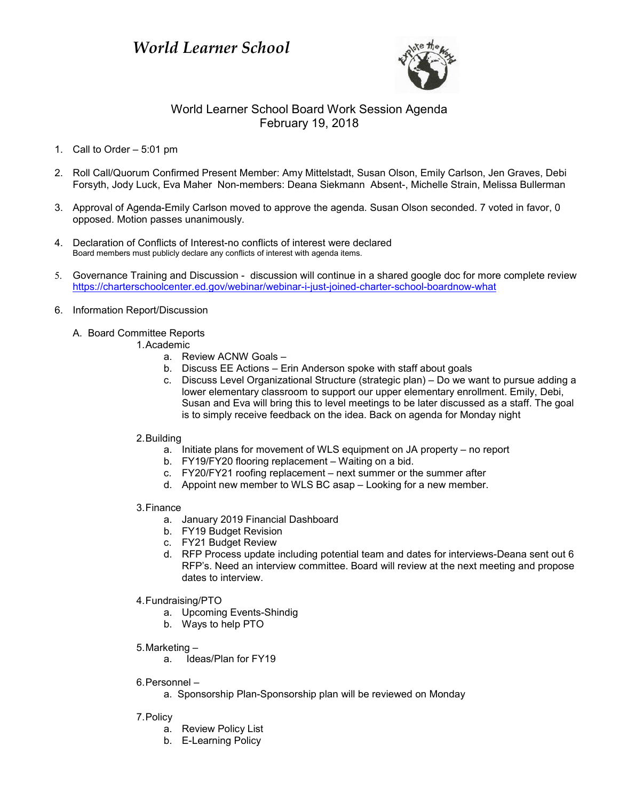

# World Learner School Board Work Session Agenda February 19, 2018

- 1. Call to Order 5:01 pm
- 2. Roll Call/Quorum Confirmed Present Member: Amy Mittelstadt, Susan Olson, Emily Carlson, Jen Graves, Debi Forsyth, Jody Luck, Eva Maher Non-members: Deana Siekmann Absent-, Michelle Strain, Melissa Bullerman
- 3. Approval of Agenda-Emily Carlson moved to approve the agenda. Susan Olson seconded. 7 voted in favor, 0 opposed. Motion passes unanimously.
- 4. Declaration of Conflicts of Interest-no conflicts of interest were declared Board members must publicly declare any conflicts of interest with agenda items.
- 5. Governance Training and Discussion discussion will continue in a shared google doc for more complete review https://charterschoolcenter.ed.gov/webinar/webinar-i-just-joined-charter-school-boardnow-what
- 6. Information Report/Discussion
	- A. Board Committee Reports
		- 1.Academic
			- a. Review ACNW Goals –
			- b. Discuss EE Actions Erin Anderson spoke with staff about goals
			- c. Discuss Level Organizational Structure (strategic plan) Do we want to pursue adding a lower elementary classroom to support our upper elementary enrollment. Emily, Debi, Susan and Eva will bring this to level meetings to be later discussed as a staff. The goal is to simply receive feedback on the idea. Back on agenda for Monday night

## 2.Building

- a. Initiate plans for movement of WLS equipment on JA property no report
- b. FY19/FY20 flooring replacement Waiting on a bid.
- c. FY20/FY21 roofing replacement next summer or the summer after
- d. Appoint new member to WLS BC asap Looking for a new member.

## 3.Finance

- a. January 2019 Financial Dashboard
- b. FY19 Budget Revision
- c. FY21 Budget Review
- d. RFP Process update including potential team and dates for interviews-Deana sent out 6 RFP's. Need an interview committee. Board will review at the next meeting and propose dates to interview.
- 4.Fundraising/PTO
	- a. Upcoming Events-Shindig
	- b. Ways to help PTO
- 5.Marketing
	- a. Ideas/Plan for FY19
- 6.Personnel
	- a. Sponsorship Plan-Sponsorship plan will be reviewed on Monday

## 7.Policy

- a. Review Policy List
- b. E-Learning Policy